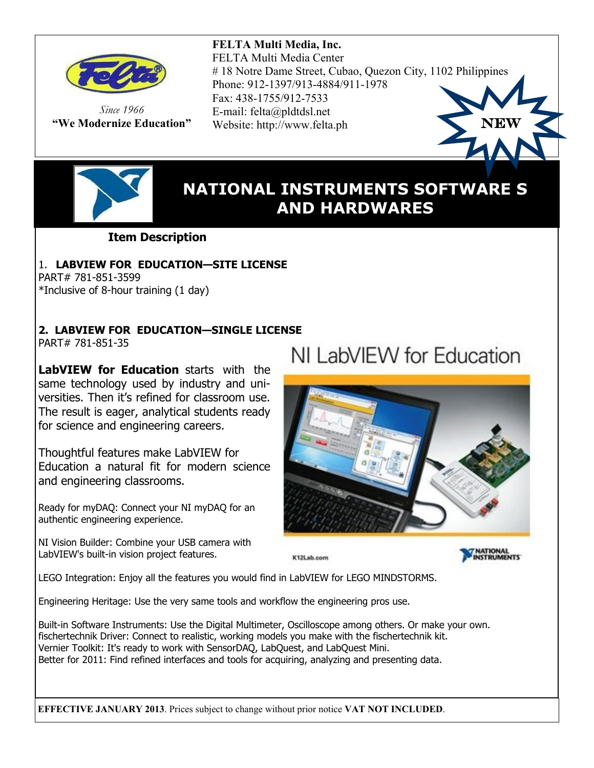

*Since 1966* **"We Modernize Education"**

#### **FELTA Multi Media, Inc.** FELTA Multi Media Center # 18 Notre Dame Street, Cubao, Quezon City, 1102 Philippines Phone: 912-1397/913-4884/911-1978 Fax: 438-1755/912-7533 E-mail: felta@pldtdsl.net Website: http://www.felta.ph new



## **NATIONAL INSTRUMENTS SOFTWARE S AND HARDWARES**

**Item Description**

1. **LABVIEW FOR EDUCATION—SITE LICENSE** PART# 781-851-3599 \*Inclusive of 8-hour training (1 day)

### **2. LABVIEW FOR EDUCATION—SINGLE LICENSE**

PART# 781-851-35

**LabVIEW for Education** starts with the same technology used by industry and universities. Then it's refined for classroom use. The result is eager, analytical students ready for science and engineering careers.

Thoughtful features make LabVIEW for Education a natural fit for modern science and engineering classrooms.

Ready for myDAQ: Connect your NI myDAQ for an authentic engineering experience.

NI Vision Builder: Combine your USB camera with LabVIEW's built-in vision project features.

# NI LabVIEW for Education



K12Lab.com

NATIONAL<br>NSTRUMENTS

LEGO Integration: Enjoy all the features you would find in LabVIEW for LEGO MINDSTORMS.

Engineering Heritage: Use the very same tools and workflow the engineering pros use.

Built-in Software Instruments: Use the Digital Multimeter, Oscilloscope among others. Or make your own. fischertechnik Driver: Connect to realistic, working models you make with the fischertechnik kit. Vernier Toolkit: It's ready to work with SensorDAQ, LabQuest, and LabQuest Mini. Better for 2011: Find refined interfaces and tools for acquiring, analyzing and presenting data.

**EFFECTIVE JANUARY 2013**. Prices subject to change without prior notice **VAT NOT INCLUDED**.